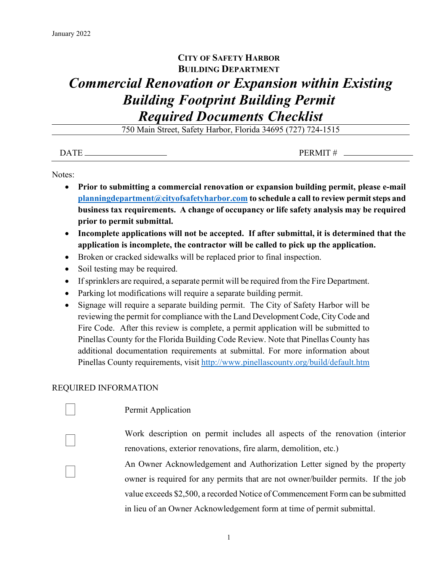## **CITY OF SAFETY HARBOR BUILDING DEPARTMENT**

## *Commercial Renovation or Expansion within Existing Building Footprint Building Permit Required Documents Checklist*

750 Main Street, Safety Harbor, Florida 34695 (727) 724-1515

| PERMIT#<br><b>DATE</b> |  |
|------------------------|--|
|------------------------|--|

Notes:

- **Prior to submitting a commercial renovation or expansion building permit, please e-mail [planningdepartment@cityofsafetyharbor.com](mailto:planningdepartment@cityofsafetyharbor.com) to schedule a call to review permit steps and business tax requirements. A change of occupancy or life safety analysis may be required prior to permit submittal.**
- **Incomplete applications will not be accepted. If after submittal, it is determined that the application is incomplete, the contractor will be called to pick up the application.**
- Broken or cracked sidewalks will be replaced prior to final inspection.
- Soil testing may be required.
- If sprinklers are required, a separate permit will be required from the Fire Department.
- Parking lot modifications will require a separate building permit.
- Signage will require a separate building permit. The City of Safety Harbor will be reviewing the permit for compliance with the Land Development Code, City Code and Fire Code. After this review is complete, a permit application will be submitted to Pinellas County for the Florida Building Code Review. Note that Pinellas County has additional documentation requirements at submittal. For more information about Pinellas County requirements, visit<http://www.pinellascounty.org/build/default.htm>

## REQUIRED INFORMATION

## Permit Application

 Work description on permit includes all aspects of the renovation (interior renovations, exterior renovations, fire alarm, demolition, etc.)

 An Owner Acknowledgement and Authorization Letter signed by the property owner is required for any permits that are not owner/builder permits. If the job value exceeds \$2,500, a recorded Notice of Commencement Form can be submitted in lieu of an Owner Acknowledgement form at time of permit submittal.